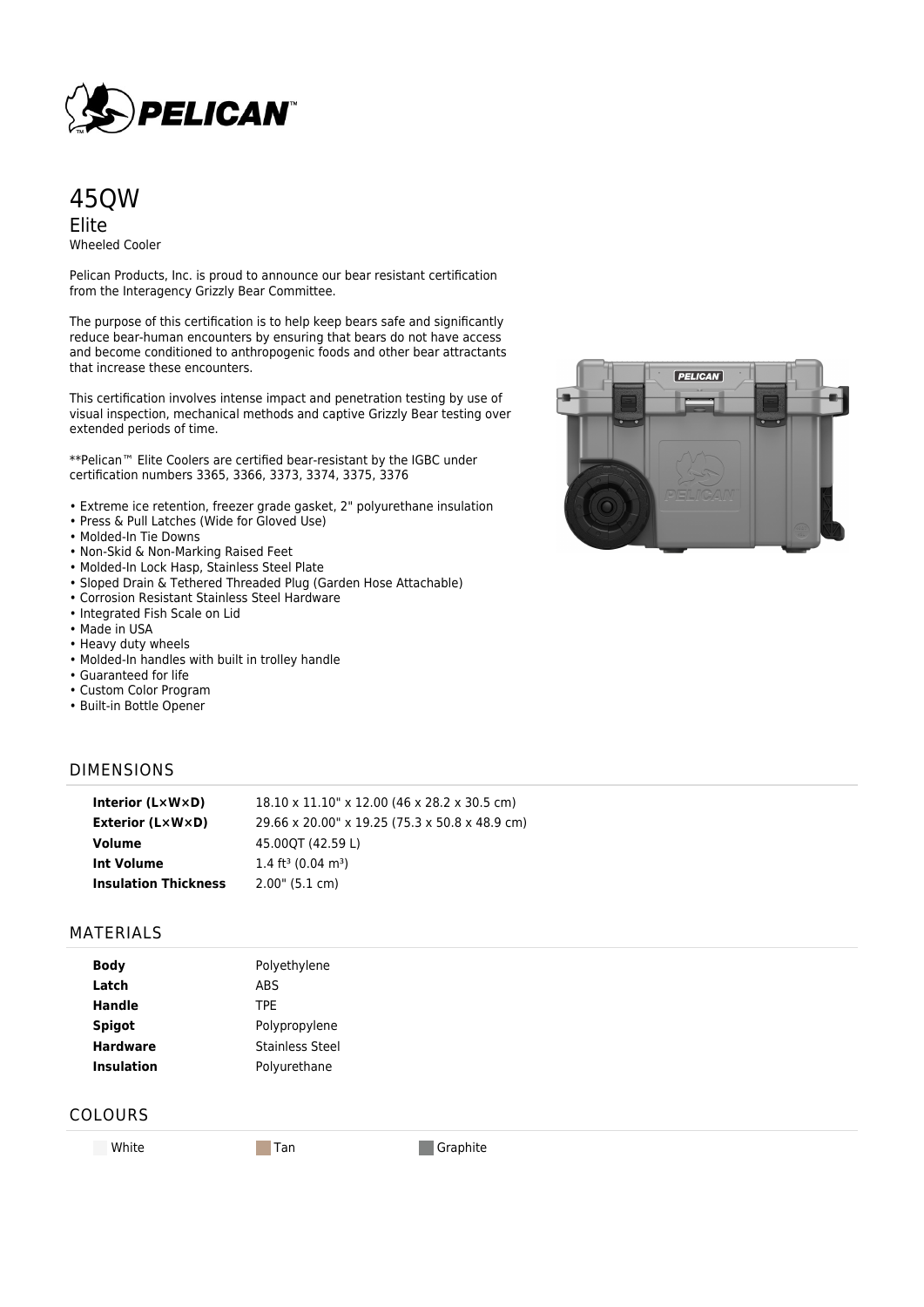

## 45QW Elite Wheeled Cooler

Pelican Products, Inc. is proud to announce our bear resistant certification from the Interagency Grizzly Bear Committee.

The purpose of this certification is to help keep bears safe and significantly reduce bear-human encounters by ensuring that bears do not have access and become conditioned to anthropogenic foods and other bear attractants that increase these encounters.

This certification involves intense impact and penetration testing by use of visual inspection, mechanical methods and captive Grizzly Bear testing over extended periods of time.

\*\*Pelican™ Elite Coolers are certified bear-resistant by the IGBC under certification numbers 3365, 3366, 3373, 3374, 3375, 3376

- Extreme ice retention, freezer grade gasket, 2" polyurethane insulation
- Press & Pull Latches (Wide for Gloved Use)
- Molded-In Tie Downs
- Non-Skid & Non-Marking Raised Feet
- Molded-In Lock Hasp, Stainless Steel Plate
- Sloped Drain & Tethered Threaded Plug (Garden Hose Attachable)
- Corrosion Resistant Stainless Steel Hardware
- Integrated Fish Scale on Lid
- Made in USA
- Heavy duty wheels
- Molded-In handles with built in trolley handle
- Guaranteed for life
- Custom Color Program
- Built-in Bottle Opener

#### DIMENSIONS

| Interior $(L \times W \times D)$ | 18.10 x 11.10" x 12.00 (46 x 28.2 x 30.5 cm)   |
|----------------------------------|------------------------------------------------|
| Exterior (L×W×D)                 | 29.66 x 20.00" x 19.25 (75.3 x 50.8 x 48.9 cm) |
| Volume                           | 45.00OT (42.59 L)                              |
| <b>Int Volume</b>                | 1.4 ft <sup>3</sup> (0.04 m <sup>3</sup> )     |
| <b>Insulation Thickness</b>      | 2.00" (5.1 cm)                                 |

### MATERIALS

| <b>Body</b>       | Polyethylene           |
|-------------------|------------------------|
| Latch             | <b>ABS</b>             |
| Handle            | TPE                    |
| <b>Spigot</b>     | Polypropylene          |
| <b>Hardware</b>   | <b>Stainless Steel</b> |
| <b>Insulation</b> | Polyurethane           |

### COLOURS